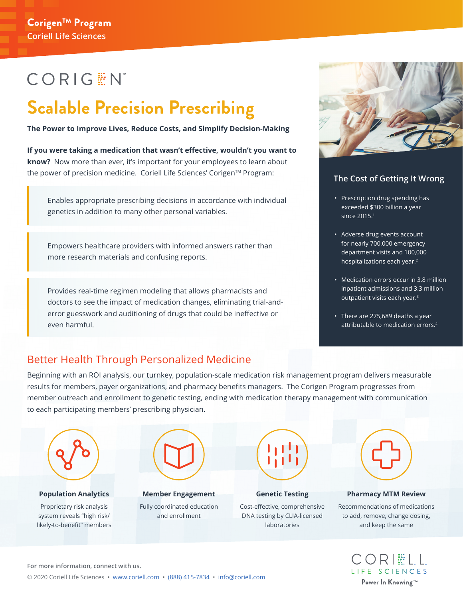# **CORIGEN**

# **Scalable Precision Prescribing**

**The Power to Improve Lives, Reduce Costs, and Simplify Decision-Making**

**If you were taking a medication that wasn't effective, wouldn't you want to know?** Now more than ever, it's important for your employees to learn about the power of precision medicine. Coriell Life Sciences' Corigen™ Program:

Enables appropriate prescribing decisions in accordance with individual genetics in addition to many other personal variables.

Empowers healthcare providers with informed answers rather than more research materials and confusing reports.

Provides real-time regimen modeling that allows pharmacists and doctors to see the impact of medication changes, eliminating trial-anderror guesswork and auditioning of drugs that could be ineffective or even harmful.



### **The Cost of Getting It Wrong**

- Prescription drug spending has exceeded \$300 billion a year since 2015.<sup>1</sup>
- Adverse drug events account for nearly 700,000 emergency department visits and 100,000 hospitalizations each year.2
- Medication errors occur in 3.8 million inpatient admissions and 3.3 million outpatient visits each year.3
- There are 275,689 deaths a year attributable to medication errors.4

## Better Health Through Personalized Medicine

Beginning with an ROI analysis, our turnkey, population-scale medication risk management program delivers measurable results for members, payer organizations, and pharmacy benefits managers. The Corigen Program progresses from member outreach and enrollment to genetic testing, ending with medication therapy management with communication to each participating members' prescribing physician.



#### **Population Analytics**

Proprietary risk analysis system reveals "high risk/ likely-to-benefit" members



**Member Engagement** Fully coordinated education and enrollment



#### **Genetic Testing**

Cost-effective, comprehensive DNA testing by CLIA-licensed laboratories



#### **Pharmacy MTM Review**

Recommendations of medications to add, remove, change dosing, and keep the same



**For more information, connect with us.**

© 2020 Coriell Life Sciences • www.coriell.com • (888) 415-7834 • info@coriell.com